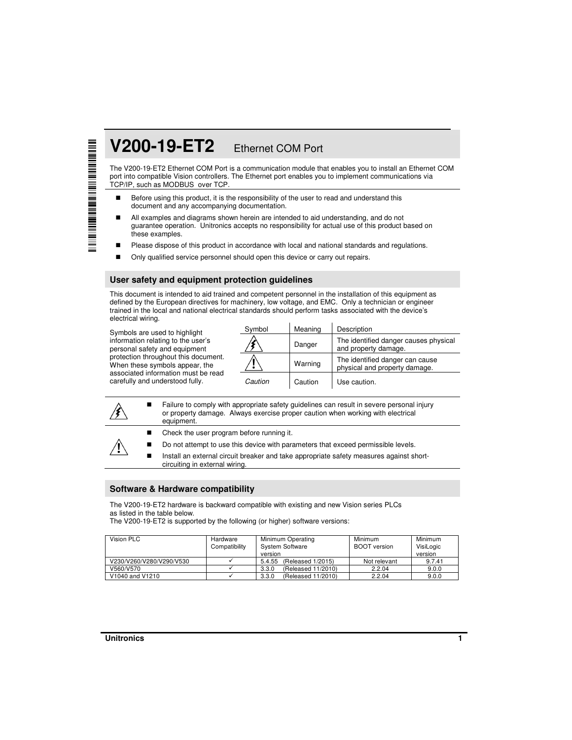# **V200-19-ET2** Ethernet COM Port

The V200-19-ET2 Ethernet COM Port is a communication module that enables you to install an Ethernet COM port into compatible Vision controllers. The Ethernet port enables you to implement communications via TCP/IP, such as MODBUS over TCP.

- Before using this product, it is the responsibility of the user to read and understand this document and any accompanying documentation.
- All examples and diagrams shown herein are intended to aid understanding, and do not guarantee operation. Unitronics accepts no responsibility for actual use of this product based on these examples.
- **Please dispose of this product in accordance with local and national standards and regulations.**
- Only qualified service personnel should open this device or carry out repairs.

#### **User safety and equipment protection guidelines**

This document is intended to aid trained and competent personnel in the installation of this equipment as defined by the European directives for machinery, low voltage, and EMC. Only a technician or engineer trained in the local and national electrical standards should perform tasks associated with the device's electrical wiring.

Symbols are used to highlight information relating to the user's personal safety and equipment protection throughout this document. When these symbols appear, the associated information must be read carefully and understood fully.

| Symbol  | Meaning | Description                                                      |
|---------|---------|------------------------------------------------------------------|
|         | Danger  | The identified danger causes physical<br>and property damage.    |
|         | Warning | The identified danger can cause<br>physical and property damage. |
| Caution | Caution | Use caution.                                                     |

 Failure to comply with appropriate safety guidelines can result in severe personal injury or property damage. Always exercise proper caution when working with electrical equipment. ■ Check the user program before running it. Do not attempt to use this device with parameters that exceed permissible levels. **Install an external circuit breaker and take appropriate safety measures against short**circuiting in external wiring.

#### **Software & Hardware compatibility**

The V200-19-ET2 hardware is backward compatible with existing and new Vision series PLCs as listed in the table below.

The V200-19-ET2 is supported by the following (or higher) software versions:

| Vision PLC               | Hardware<br>Compatibility | Minimum Operating<br><b>System Software</b><br>version | Minimum<br><b>BOOT</b> version | Minimum<br>VisiLogic<br>version |
|--------------------------|---------------------------|--------------------------------------------------------|--------------------------------|---------------------------------|
| V230/V260/V280/V290/V530 |                           | 5.4.55<br>(Released 1/2015)                            | Not relevant                   | 9.7.41                          |
| V560/V570                |                           | 3.3.0<br>(Released 11/2010)                            | 2.2.04                         | 9.0.0                           |
| V1040 and V1210          |                           | 3.3.0<br>(Released 11/2010)                            | 2.2.04                         | 9.0.0                           |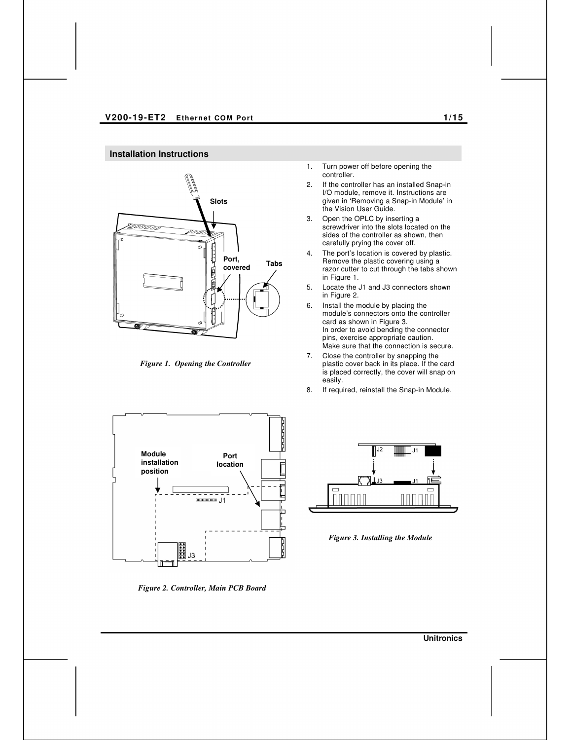# **Installation Instructions**



*Figure 1. Opening the Controller* 

1. Turn power off before opening the controller.

- 2. If the controller has an installed Snap-in I/O module, remove it. Instructions are given in 'Removing a Snap-in Module' in the Vision User Guide.
- 3. Open the OPLC by inserting a screwdriver into the slots located on the sides of the controller as shown, then carefully prying the cover off.
- 4. The port's location is covered by plastic. Remove the plastic covering using a razor cutter to cut through the tabs shown in Figure 1.
- 5. Locate the J1 and J3 connectors shown in Figure 2.
- 6. Install the module by placing the module's connectors onto the controller card as shown in Figure 3. In order to avoid bending the connector pins, exercise appropriate caution. Make sure that the connection is secure.
- 7. Close the controller by snapping the plastic cover back in its place. If the card is placed correctly, the cover will snap on easily.
- 8. If required, reinstall the Snap-in Module.



*Figure 2. Controller, Main PCB Board* 



*Figure 3. Installing the Module* 

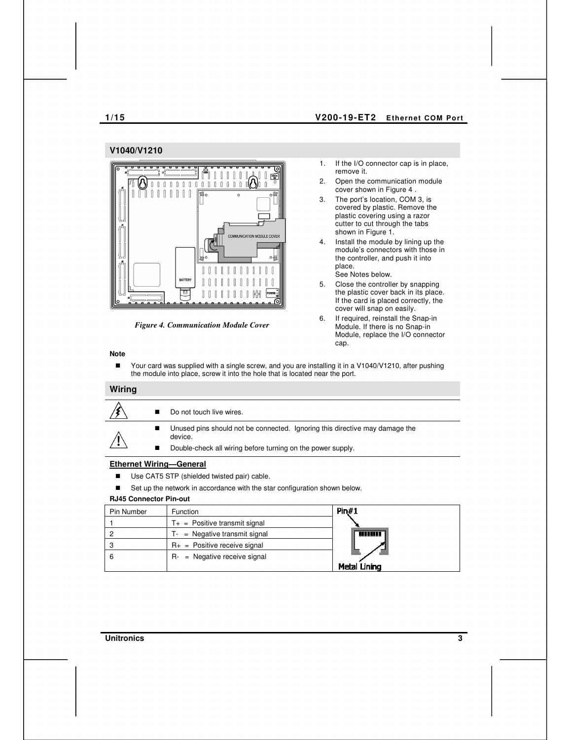#### **1/15 V200-19-ET2 Ethernet COM Port**

#### **V1040/V1210**



*Figure 4. Communication Module Cover* 

- 1. If the I/O connector cap is in place, remove it.
- 2. Open the communication module cover shown in Figure 4 .
- 3. The port's location, COM 3, is covered by plastic. Remove the plastic covering using a razor cutter to cut through the tabs shown in Figure 1.
- 4. Install the module by lining up the module's connectors with those in the controller, and push it into place. See Notes below.
- 5. Close the controller by snapping the plastic cover back in its place. If the card is placed correctly, the cover will snap on easily.
- 6. If required, reinstall the Snap-in Module. If there is no Snap-in Module, replace the I/O connector cap.

## **Note**

■ Your card was supplied with a single screw, and you are installing it in a V1040/V1210, after pushing the module into place, screw it into the hole that is located near the port.

#### **Wiring**

|  | Do not touch live wires.                                                               |
|--|----------------------------------------------------------------------------------------|
|  | Unused pins should not be connected. Ignoring this directive may damage the<br>device. |
|  | Double-check all wiring before turning on the power supply.                            |
|  |                                                                                        |

#### **Ethernet Wiring—General**

- Use CAT5 STP (shielded twisted pair) cable.
- Set up the network in accordance with the star configuration shown below.

### **RJ45 Connector Pin-out**

| Pin Number | <b>Function</b>                    | Pin#1               |
|------------|------------------------------------|---------------------|
|            | $T_{+}$ = Positive transmit signal |                     |
|            | $T -$ = Negative transmit signal   | <b>THEFT I</b>      |
|            | $R_{+}$ = Positive receive signal  |                     |
| 6          | $R-$ = Negative receive signal     |                     |
|            |                                    | <b>Metal Lining</b> |